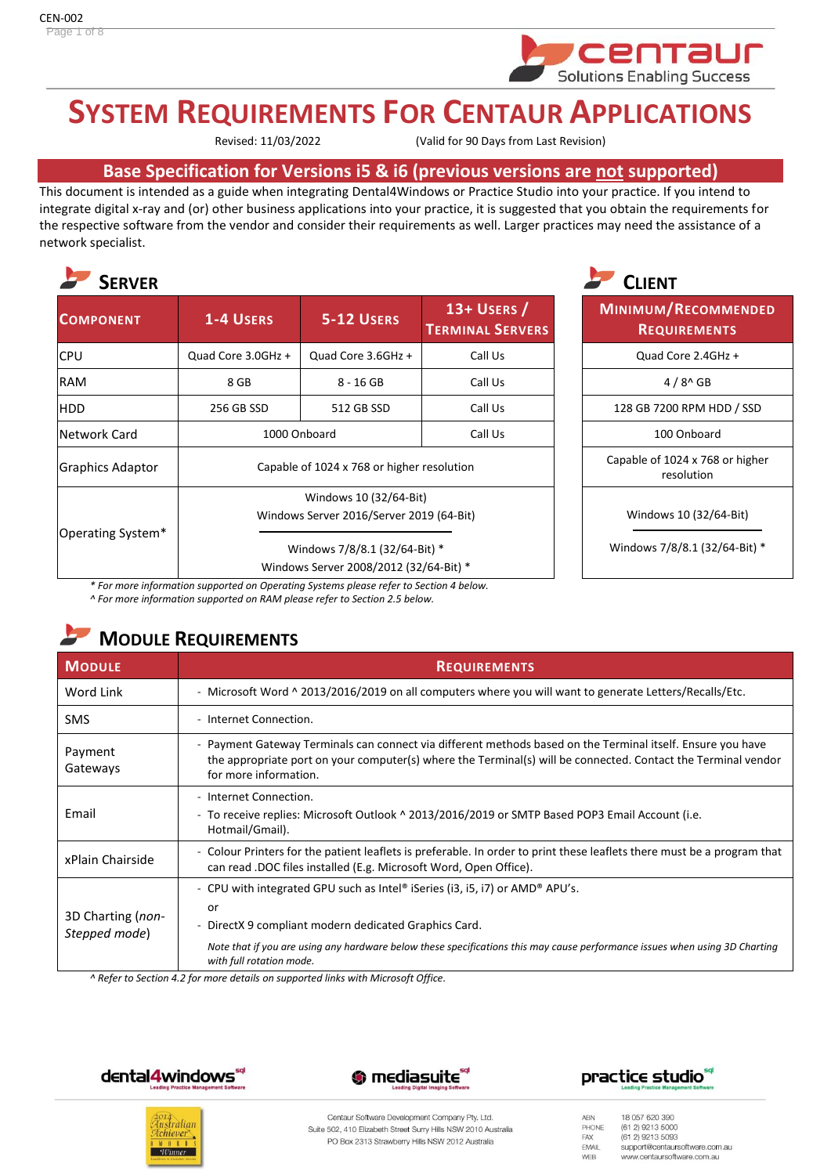

# **SYSTEM REQUIREMENTS FOR CENTAUR APPLICATIONS**

Revised: 11/03/2022 (Valid for 90 Days from Last Revision)

## **Base Specification for Versions i5 & i6 (previous versions are not supported)**

This document is intended as a guide when integrating Dental4Windows or Practice Studio into your practice. If you intend to integrate digital x-ray and (or) other business applications into your practice, it is suggested that you obtain the requirements for the respective software from the vendor and consider their requirements as well. Larger practices may need the assistance of a network specialist.



| <b>SERVER</b>           |                                                                         |                    | <b>CLIENT</b>                            |                                    |
|-------------------------|-------------------------------------------------------------------------|--------------------|------------------------------------------|------------------------------------|
| <b>COMPONENT</b>        | 1-4 USERS                                                               | <b>5-12 USERS</b>  | $13+$ USERS /<br><b>TERMINAL SERVERS</b> | MINIMUM/RECOM<br><b>REQUIREMEN</b> |
| <b>CPU</b>              | Quad Core 3.0GHz +                                                      | Quad Core 3.6GHz + | Call Us                                  | Quad Core 2.4GI                    |
| <b>RAM</b>              | 8 GB                                                                    | $8 - 16$ GB        | Call Us                                  | $4/8^{\circ}$ GB                   |
| HDD                     | 256 GB SSD                                                              | 512 GB SSD         | Call Us                                  | 128 GB 7200 RPM HI                 |
| Network Card            |                                                                         | 1000 Onboard       | Call Us                                  | 100 Onboard                        |
| <b>Graphics Adaptor</b> | Capable of 1024 x 768 or higher resolution                              |                    | Capable of 1024 x 768<br>resolution      |                                    |
| Operating System*       | Windows 10 (32/64-Bit)<br>Windows Server 2016/Server 2019 (64-Bit)      |                    | Windows 10 (32/6                         |                                    |
|                         | Windows 7/8/8.1 (32/64-Bit) *<br>Windows Server 2008/2012 (32/64-Bit) * |                    | Windows 7/8/8.1 (32,                     |                                    |



**MINIMUM/RECOMMENDED REQUIREMENTS**

Quad Core 2.4GHz +

128 GB 7200 RPM HDD / SSD

Capable of 1024 x 768 or higher resolution

Windows 10 (32/64-Bit)

Windows 7/8/8.1 (32/64-Bit) \*

*\* For more information supported on Operating Systems please refer to Section 4 below. ^ For more information supported on RAM please refer to Section 2.5 below.*

## **MODULE REQUIREMENTS**

| <b>MODULE</b>                      | <b>REQUIREMENTS</b>                                                                                                                                                                                                                                                                                            |
|------------------------------------|----------------------------------------------------------------------------------------------------------------------------------------------------------------------------------------------------------------------------------------------------------------------------------------------------------------|
| Word Link                          | - Microsoft Word ^ 2013/2016/2019 on all computers where you will want to generate Letters/Recalls/Etc.                                                                                                                                                                                                        |
| <b>SMS</b>                         | - Internet Connection.                                                                                                                                                                                                                                                                                         |
| Payment<br>Gateways                | - Payment Gateway Terminals can connect via different methods based on the Terminal itself. Ensure you have<br>the appropriate port on your computer(s) where the Terminal(s) will be connected. Contact the Terminal vendor<br>for more information.                                                          |
| Email                              | - Internet Connection.<br>- To receive replies: Microsoft Outlook ^ 2013/2016/2019 or SMTP Based POP3 Email Account (i.e.<br>Hotmail/Gmail).                                                                                                                                                                   |
| xPlain Chairside                   | - Colour Printers for the patient leaflets is preferable. In order to print these leaflets there must be a program that<br>can read .DOC files installed (E.g. Microsoft Word, Open Office).                                                                                                                   |
| 3D Charting (non-<br>Stepped mode) | - CPU with integrated GPU such as Intel® iSeries (i3, i5, i7) or AMD® APU's.<br>or<br>DirectX 9 compliant modern dedicated Graphics Card.<br>$\sim$<br>Note that if you are using any hardware below these specifications this may cause performance issues when using 3D Charting<br>with full rotation mode. |

*^ Refer to Section 4.2 for more details on supported links with Microsoft Office.*









Centaur Software Development Company Pty. Ltd. Suite 502, 410 Elizabeth Street Surry Hills NSW 2010 Australia PO Box 2313 Strawberry Hills NSW 2012 Australia

18 057 620 390 ABN PHONE (61.2) 9213 5000  $(612)$  9213 5093 FAX EMAIL support@centaursoftware.com.au www.centaursoftware.com.au WEB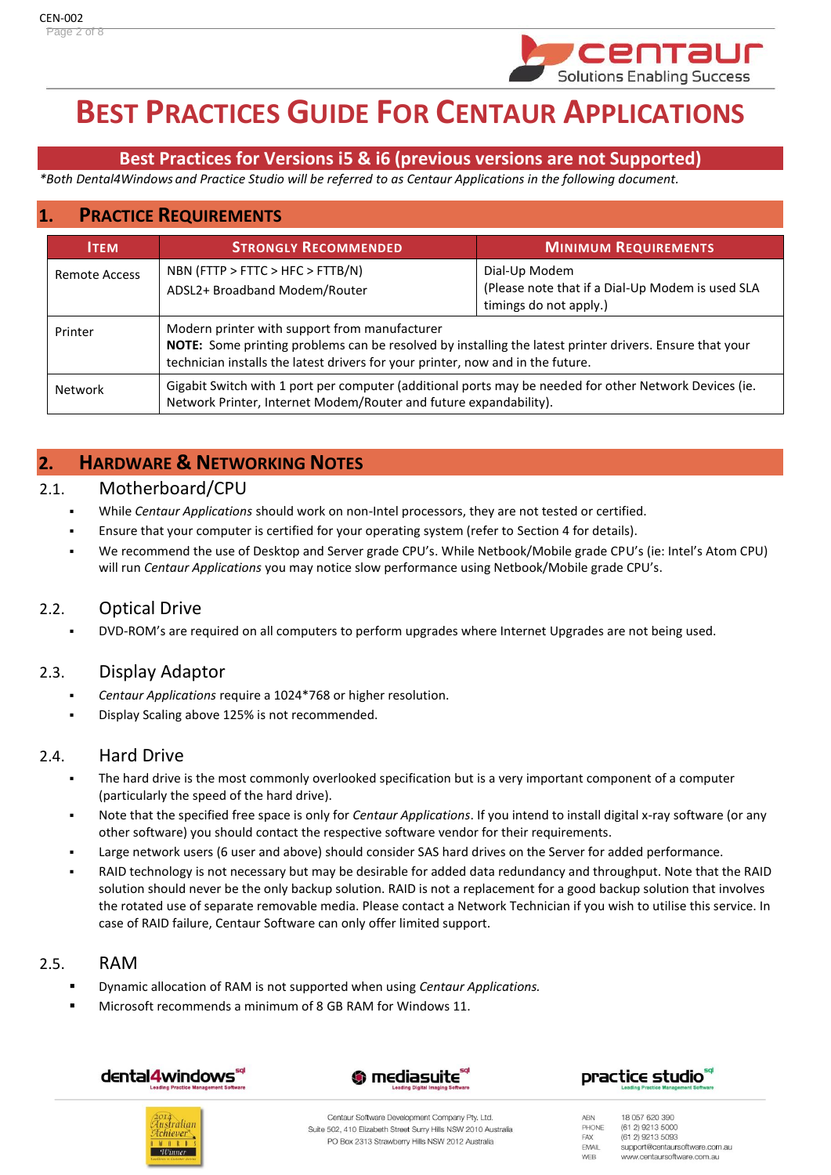

# **BEST PRACTICES GUIDE FOR CENTAUR APPLICATIONS**

## **Best Practices for Versions i5 & i6 (previous versions are not Supported)**

*\*Both Dental4Windows and Practice Studio will be referred to as Centaur Applications in the following document.*

## **1. PRACTICE REQUIREMENTS**

| <b>ITEM</b>    | <b>STRONGLY RECOMMENDED</b>                                                                                                                                                                                                                 | <b>MINIMUM REQUIREMENTS</b>                                                                 |
|----------------|---------------------------------------------------------------------------------------------------------------------------------------------------------------------------------------------------------------------------------------------|---------------------------------------------------------------------------------------------|
| Remote Access  | NBN (FTTP > FTTC > HFC > FTTB/N)<br>ADSL2+ Broadband Modem/Router                                                                                                                                                                           | Dial-Up Modem<br>(Please note that if a Dial-Up Modem is used SLA<br>timings do not apply.) |
| Printer        | Modern printer with support from manufacturer<br>NOTE: Some printing problems can be resolved by installing the latest printer drivers. Ensure that your<br>technician installs the latest drivers for your printer, now and in the future. |                                                                                             |
| <b>Network</b> | Gigabit Switch with 1 port per computer (additional ports may be needed for other Network Devices (ie.<br>Network Printer, Internet Modem/Router and future expandability).                                                                 |                                                                                             |

## **2. HARDWARE & NETWORKING NOTES**

#### 2.1. Motherboard/CPU

- While *Centaur Applications* should work on non-Intel processors, they are not tested or certified.
- Ensure that your computer is certified for your operating system (refer to Section 4 for details).
- We recommend the use of Desktop and Server grade CPU's. While Netbook/Mobile grade CPU's (ie: Intel's Atom CPU) will run *Centaur Applications* you may notice slow performance using Netbook/Mobile grade CPU's.

## 2.2. Optical Drive

DVD-ROM's are required on all computers to perform upgrades where Internet Upgrades are not being used.

## 2.3. Display Adaptor

- *Centaur Applications* require a 1024\*768 or higher resolution.
- Display Scaling above 125% is not recommended.

## 2.4. Hard Drive

- The hard drive is the most commonly overlooked specification but is a very important component of a computer (particularly the speed of the hard drive).
- Note that the specified free space is only for *Centaur Applications*. If you intend to install digital x-ray software (or any other software) you should contact the respective software vendor for their requirements.
- Large network users (6 user and above) should consider SAS hard drives on the Server for added performance.
- RAID technology is not necessary but may be desirable for added data redundancy and throughput. Note that the RAID solution should never be the only backup solution. RAID is not a replacement for a good backup solution that involves the rotated use of separate removable media. Please contact a Network Technician if you wish to utilise this service. In case of RAID failure, Centaur Software can only offer limited support.

## 2.5. RAM

- Dynamic allocation of RAM is not supported when using *Centaur Applications.*
- Microsoft recommends a minimum of 8 GB RAM for Windows 11.









Centaur Software Development Company Pty. Ltd. Suite 502, 410 Elizabeth Street Surry Hills NSW 2010 Australia PO Box 2313 Strawberry Hills NSW 2012 Australia

18 057 620 390 ABN PHONE (61.2) 9213 5000 (61 2) 9213 5093 FAX EMAIL support@centaursoftware.com.au WEB www.centaursoftware.com.au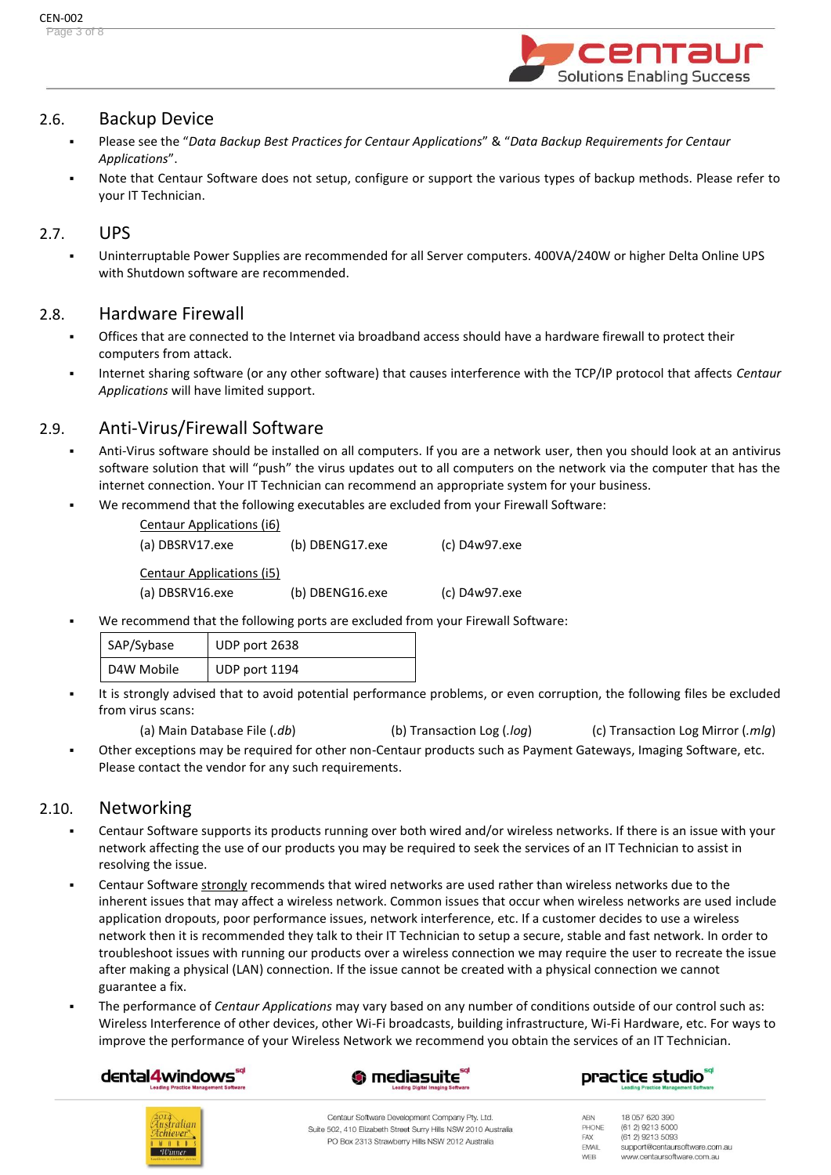

#### 2.6. Backup Device

- Please see the "*Data Backup Best Practices for Centaur Applications*" & "*Data Backup Requirements for Centaur Applications*".
- Note that Centaur Software does not setup, configure or support the various types of backup methods. Please refer to your IT Technician.

#### 2.7. UPS

Uninterruptable Power Supplies are recommended for all Server computers. 400VA/240W or higher Delta Online UPS with Shutdown software are recommended.

#### 2.8. Hardware Firewall

- Offices that are connected to the Internet via broadband access should have a hardware firewall to protect their computers from attack.
- Internet sharing software (or any other software) that causes interference with the TCP/IP protocol that affects *Centaur Applications* will have limited support.

## 2.9. Anti-Virus/Firewall Software

- Anti-Virus software should be installed on all computers. If you are a network user, then you should look at an antivirus software solution that will "push" the virus updates out to all computers on the network via the computer that has the internet connection. Your IT Technician can recommend an appropriate system for your business.
- We recommend that the following executables are excluded from your Firewall Software:

| Centaur Applications (i6) |                 |               |
|---------------------------|-----------------|---------------|
| (a) DBSRV17.exe           | (b) DBENG17.exe | (c) D4w97.exe |
| Centaur Applications (i5) |                 |               |
| (a) DBSRV16.exe           | (b) DBENG16.exe | (c) D4w97.exe |

We recommend that the following ports are excluded from your Firewall Software:

| SAP/Sybase | UDP port 2638 |
|------------|---------------|
| D4W Mobile | UDP port 1194 |

- It is strongly advised that to avoid potential performance problems, or even corruption, the following files be excluded from virus scans:
	- (a) Main Database File (*.db*) (b) Transaction Log (*.log*) (c) Transaction Log Mirror (*.mlg*)
- Other exceptions may be required for other non-Centaur products such as Payment Gateways, Imaging Software, etc. Please contact the vendor for any such requirements.

#### 2.10. Networking

- Centaur Software supports its products running over both wired and/or wireless networks. If there is an issue with your network affecting the use of our products you may be required to seek the services of an IT Technician to assist in resolving the issue.
- Centaur Software strongly recommends that wired networks are used rather than wireless networks due to the inherent issues that may affect a wireless network. Common issues that occur when wireless networks are used include application dropouts, poor performance issues, network interference, etc. If a customer decides to use a wireless network then it is recommended they talk to their IT Technician to setup a secure, stable and fast network. In order to troubleshoot issues with running our products over a wireless connection we may require the user to recreate the issue after making a physical (LAN) connection. If the issue cannot be created with a physical connection we cannot guarantee a fix.
- The performance of *Centaur Applications* may vary based on any number of conditions outside of our control such as: Wireless Interference of other devices, other Wi-Fi broadcasts, building infrastructure, Wi-Fi Hardware, etc. For ways to improve the performance of your Wireless Network we recommend you obtain the services of an IT Technician.

## dental4windows



## practice studio<sup>®</sup>



Centaur Software Development Company Pty. Ltd. Suite 502, 410 Elizabeth Street Surry Hills NSW 2010 Australia PO Box 2313 Strawberry Hills NSW 2012 Australia

18 057 620 390 ABN PHONE (61.2) 9213 5000 (61 2) 9213 5093 FAX EMAIL support@centaursoftware.com.au WEB www.centaursoftware.com.au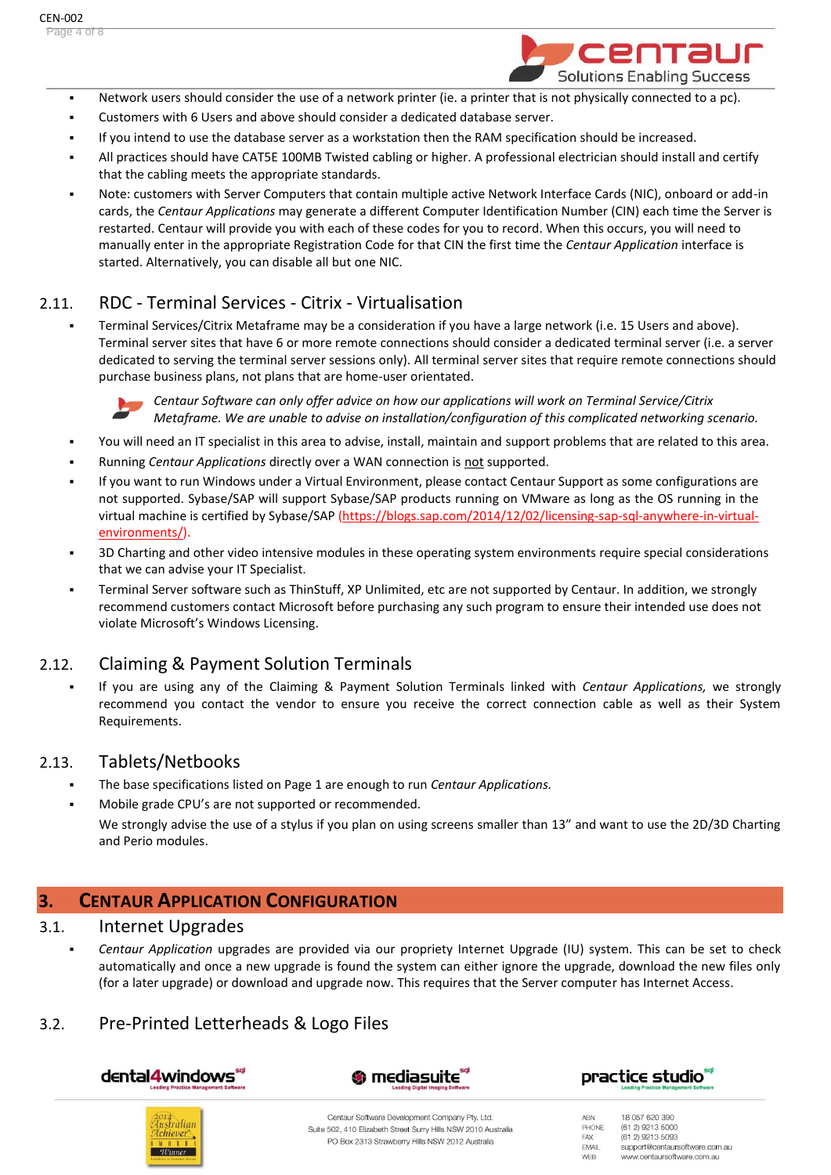

- Network users should consider the use of a network printer (ie. a printer that is not physically connected to a pc).
- Customers with 6 Users and above should consider a dedicated database server.
- If you intend to use the database server as a workstation then the RAM specification should be increased.
- All practices should have CAT5E 100MB Twisted cabling or higher. A professional electrician should install and certify that the cabling meets the appropriate standards.
- Note: customers with Server Computers that contain multiple active Network Interface Cards (NIC), onboard or add-in cards, the *Centaur Applications* may generate a different Computer Identification Number (CIN) each time the Server is restarted. Centaur will provide you with each of these codes for you to record. When this occurs, you will need to manually enter in the appropriate Registration Code for that CIN the first time the *Centaur Application* interface is started. Alternatively, you can disable all but one NIC.

## 2.11. RDC - Terminal Services - Citrix - Virtualisation

▪ Terminal Services/Citrix Metaframe may be a consideration if you have a large network (i.e. 15 Users and above). Terminal server sites that have 6 or more remote connections should consider a dedicated terminal server (i.e. a server dedicated to serving the terminal server sessions only). All terminal server sites that require remote connections should purchase business plans, not plans that are home-user orientated.



*Centaur Software can only offer advice on how our applications will work on Terminal Service/Citrix Metaframe. We are unable to advise on installation/configuration of this complicated networking scenario.* 

- You will need an IT specialist in this area to advise, install, maintain and support problems that are related to this area.
- Running *Centaur Applications* directly over a WAN connection is not supported.
- If you want to run Windows under a Virtual Environment, please contact Centaur Support as some configurations are not supported. Sybase/SAP will support Sybase/SAP products running on VMware as long as the OS running in the virtual machine is certified by Sybase/SAP [\(https://blogs.sap.com/2014/12/02/licensing-sap-sql-anywhere-in-virtual](https://blogs.sap.com/2014/12/02/licensing-sap-sql-anywhere-in-virtual-environments/)[environments/\)](https://blogs.sap.com/2014/12/02/licensing-sap-sql-anywhere-in-virtual-environments/).
- 3D Charting and other video intensive modules in these operating system environments require special considerations that we can advise your IT Specialist.
- Terminal Server software such as ThinStuff, XP Unlimited, etc are not supported by Centaur. In addition, we strongly recommend customers contact Microsoft before purchasing any such program to ensure their intended use does not violate Microsoft's Windows Licensing.

## 2.12. Claiming & Payment Solution Terminals

▪ If you are using any of the Claiming & Payment Solution Terminals linked with *Centaur Applications,* we strongly recommend you contact the vendor to ensure you receive the correct connection cable as well as their System Requirements.

## 2.13. Tablets/Netbooks

- The base specifications listed on Page 1 are enough to run *Centaur Applications*.
- Mobile grade CPU's are not supported or recommended.

We strongly advise the use of a stylus if you plan on using screens smaller than 13" and want to use the 2D/3D Charting and Perio modules.

## **3. CENTAUR APPLICATION CONFIGURATION**

#### 3.1. Internet Upgrades

Centaur Application upgrades are provided via our propriety Internet Upgrade (IU) system. This can be set to check automatically and once a new upgrade is found the system can either ignore the upgrade, download the new files only (for a later upgrade) or download and upgrade now. This requires that the Server computer has Internet Access.

## 3.2. Pre-Printed Letterheads & Logo Files

dental4windows







Centaur Software Development Company Pty. Ltd. Suite 502, 410 Elizabeth Street Surry Hills NSW 2010 Australia PO Box 2313 Strawberry Hills NSW 2012 Australia

18 057 620 390 ABN PHONE (61.2) 9213 5000 (61 2) 9213 5093 FAX EMAIL support@centaursoftware.com.au WEB www.centaursoftware.com.au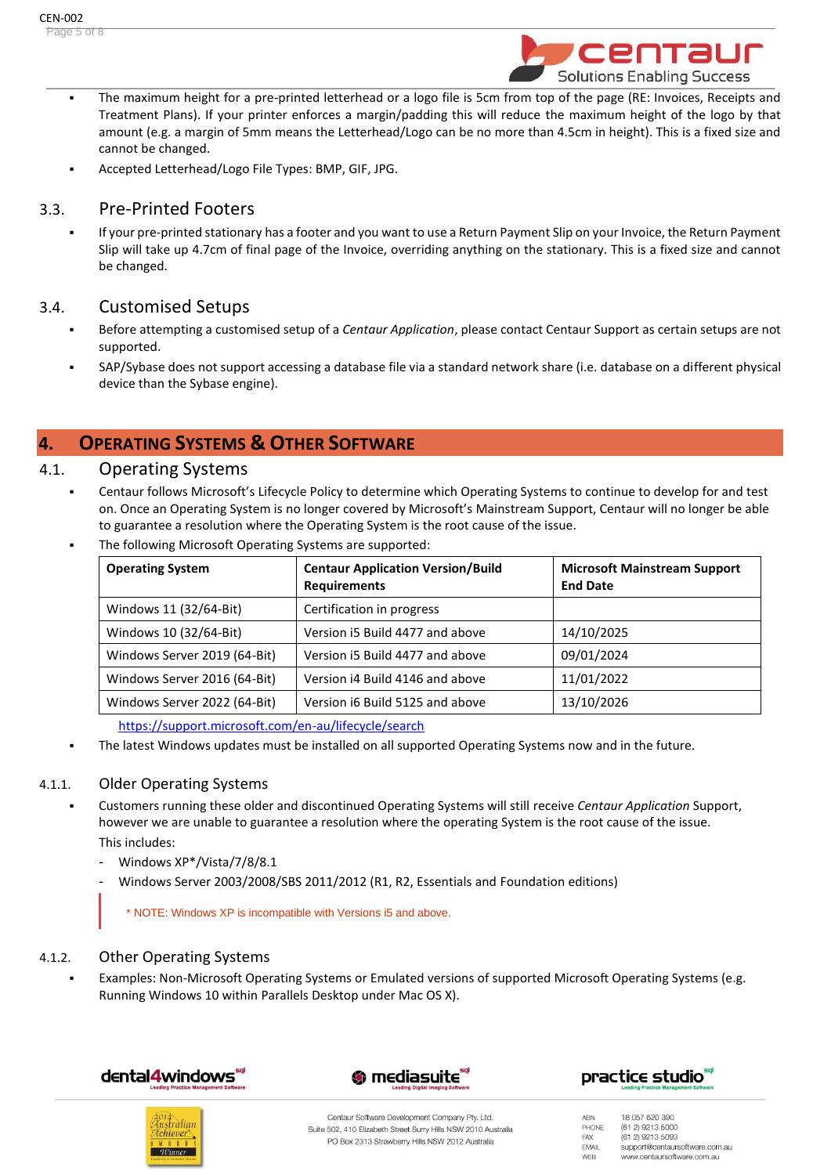

- The maximum height for a pre-printed letterhead or a logo file is 5cm from top of the page (RE: Invoices, Receipts and Treatment Plans). If your printer enforces a margin/padding this will reduce the maximum height of the logo by that amount (e.g. a margin of 5mm means the Letterhead/Logo can be no more than 4.5cm in height). This is a fixed size and cannot be changed.
- Accepted Letterhead/Logo File Types: BMP, GIF, JPG.

## 3.3. Pre-Printed Footers

If your pre-printed stationary has a footer and you want to use a Return Payment Slip on your Invoice, the Return Payment Slip will take up 4.7cm of final page of the Invoice, overriding anything on the stationary. This is a fixed size and cannot be changed.

## 3.4. Customised Setups

- Before attempting a customised setup of a *Centaur Application*, please contact Centaur Support as certain setups are not supported.
- SAP/Sybase does not support accessing a database file via a standard network share (i.e. database on a different physical device than the Sybase engine).

## **4. OPERATING SYSTEMS & OTHER SOFTWARE**

#### 4.1. Operating Systems

- Centaur follows Microsoft's Lifecycle Policy to determine which Operating Systems to continue to develop for and test on. Once an Operating System is no longer covered by Microsoft's Mainstream Support, Centaur will no longer be able to guarantee a resolution where the Operating System is the root cause of the issue.
- The following Microsoft Operating Systems are supported:

| <b>Operating System</b>      | <b>Centaur Application Version/Build</b><br><b>Requirements</b> | <b>Microsoft Mainstream Support</b><br><b>End Date</b> |
|------------------------------|-----------------------------------------------------------------|--------------------------------------------------------|
| Windows 11 (32/64-Bit)       | Certification in progress                                       |                                                        |
| Windows 10 (32/64-Bit)       | Version i5 Build 4477 and above                                 | 14/10/2025                                             |
| Windows Server 2019 (64-Bit) | Version i5 Build 4477 and above                                 | 09/01/2024                                             |
| Windows Server 2016 (64-Bit) | Version i4 Build 4146 and above                                 | 11/01/2022                                             |
| Windows Server 2022 (64-Bit) | Version i6 Build 5125 and above                                 | 13/10/2026                                             |

<https://support.microsoft.com/en-au/lifecycle/search>

**• The latest Windows updates must be installed on all supported Operating Systems now and in the future.** 

#### 4.1.1. Older Operating Systems

- Customers running these older and discontinued Operating Systems will still receive *Centaur Application* Support, however we are unable to guarantee a resolution where the operating System is the root cause of the issue. This includes:
	- Windows XP\*/Vista/7/8/8.1
	- Windows Server 2003/2008/SBS 2011/2012 (R1, R2, Essentials and Foundation editions)

\* NOTE: Windows XP is incompatible with Versions i5 and above.

#### 4.1.2. Other Operating Systems

Examples: Non-Microsoft Operating Systems or Emulated versions of supported Microsoft Operating Systems (e.g. Running Windows 10 within Parallels Desktop under Mac OS X).









Centaur Software Development Company Pty. Ltd. Suite 502, 410 Elizabeth Street Surry Hills NSW 2010 Australia PO Box 2313 Strawberry Hills NSW 2012 Australia

ABN 18 057 620 390 PHONE (61.2) 9213 5000 FAX (61 2) 9213 5093 EMAIL support@centaursoftware.com.au WEB www.centaursoftware.com.au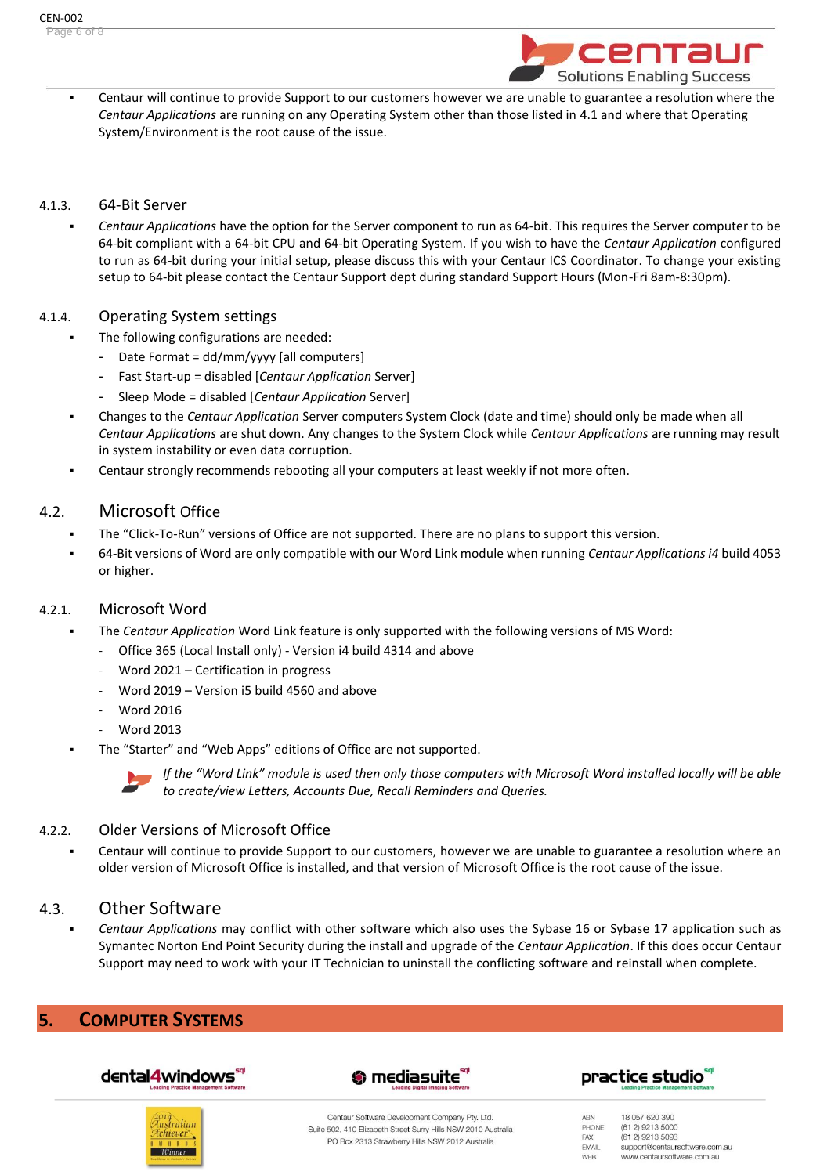

Centaur will continue to provide Support to our customers however we are unable to guarantee a resolution where the *Centaur Applications* are running on any Operating System other than those listed in 4.1 and where that Operating System/Environment is the root cause of the issue.

#### 4.1.3. 64-Bit Server

*Centaur Applications* have the option for the Server component to run as 64-bit. This requires the Server computer to be 64-bit compliant with a 64-bit CPU and 64-bit Operating System. If you wish to have the *Centaur Application* configured to run as 64-bit during your initial setup, please discuss this with your Centaur ICS Coordinator. To change your existing setup to 64-bit please contact the Centaur Support dept during standard Support Hours (Mon-Fri 8am-8:30pm).

#### 4.1.4. Operating System settings

- The following configurations are needed:
	- Date Format = dd/mm/yyyy [all computers]
	- Fast Start-up = disabled [*Centaur Application* Server]
	- Sleep Mode = disabled [*Centaur Application* Server]
- Changes to the *Centaur Application* Server computers System Clock (date and time) should only be made when all *Centaur Applications* are shut down. Any changes to the System Clock while *Centaur Applications* are running may result in system instability or even data corruption.
- Centaur strongly recommends rebooting all your computers at least weekly if not more often.

#### 4.2. Microsoft Office

- The "Click-To-Run" versions of Office are not supported. There are no plans to support this version.
- 64-Bit versions of Word are only compatible with our Word Link module when running *Centaur Applications i4* build 4053 or higher.

#### 4.2.1. Microsoft Word

- The *Centaur Application* Word Link feature is only supported with the following versions of MS Word:
	- Office 365 (Local Install only) Version i4 build 4314 and above
	- Word 2021 Certification in progress
	- Word 2019 Version i5 build 4560 and above
	- Word 2016
	- Word 2013
- The "Starter" and "Web Apps" editions of Office are not supported.



*If the "Word Link" module is used then only those computers with Microsoft Word installed locally will be able to create/view Letters, Accounts Due, Recall Reminders and Queries.*

#### 4.2.2. Older Versions of Microsoft Office

Centaur will continue to provide Support to our customers, however we are unable to guarantee a resolution where an older version of Microsoft Office is installed, and that version of Microsoft Office is the root cause of the issue.

#### 4.3. Other Software

▪ *Centaur Applications* may conflict with other software which also uses the Sybase 16 or Sybase 17 application such as Symantec Norton End Point Security during the install and upgrade of the *Centaur Application*. If this does occur Centaur Support may need to work with your IT Technician to uninstall the conflicting software and reinstall when complete.

## **5. COMPUTER SYSTEMS**







18 057 620 390

(61.2) 9213 5000

(61 2) 9213 5093

support@centaursoftware.com.au

www.centaursoftware.com.au

ABN PHONE

FAX

EMAIL

WEB



Centaur Software Development Company Pty. Ltd. Suite 502, 410 Elizabeth Street Surry Hills NSW 2010 Australia PO Box 2313 Strawberry Hills NSW 2012 Australia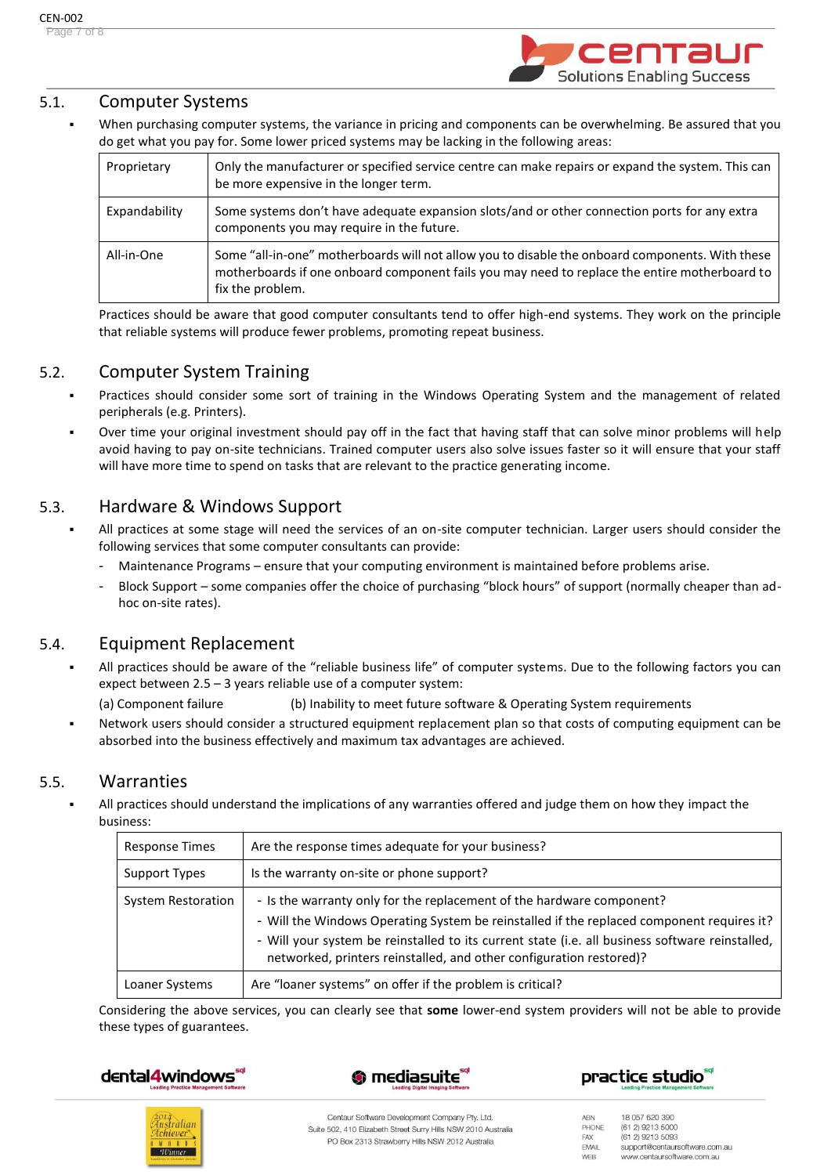

## 5.1. Computer Systems

When purchasing computer systems, the variance in pricing and components can be overwhelming. Be assured that you do get what you pay for. Some lower priced systems may be lacking in the following areas:

| Proprietary   | Only the manufacturer or specified service centre can make repairs or expand the system. This can<br>be more expensive in the longer term.                                                                           |
|---------------|----------------------------------------------------------------------------------------------------------------------------------------------------------------------------------------------------------------------|
| Expandability | Some systems don't have adequate expansion slots/and or other connection ports for any extra<br>components you may require in the future.                                                                            |
| All-in-One    | Some "all-in-one" motherboards will not allow you to disable the onboard components. With these<br>motherboards if one onboard component fails you may need to replace the entire motherboard to<br>fix the problem. |

Practices should be aware that good computer consultants tend to offer high-end systems. They work on the principle that reliable systems will produce fewer problems, promoting repeat business.

## 5.2. Computer System Training

- Practices should consider some sort of training in the Windows Operating System and the management of related peripherals (e.g. Printers).
- Over time your original investment should pay off in the fact that having staff that can solve minor problems will help avoid having to pay on-site technicians. Trained computer users also solve issues faster so it will ensure that your staff will have more time to spend on tasks that are relevant to the practice generating income.

## 5.3. Hardware & Windows Support

- All practices at some stage will need the services of an on-site computer technician. Larger users should consider the following services that some computer consultants can provide:
	- Maintenance Programs ensure that your computing environment is maintained before problems arise.
	- Block Support some companies offer the choice of purchasing "block hours" of support (normally cheaper than adhoc on-site rates).

## 5.4. Equipment Replacement

All practices should be aware of the "reliable business life" of computer systems. Due to the following factors you can expect between 2.5 – 3 years reliable use of a computer system:

(a) Component failure (b) Inability to meet future software & Operating System requirements

Network users should consider a structured equipment replacement plan so that costs of computing equipment can be absorbed into the business effectively and maximum tax advantages are achieved.

#### 5.5. Warranties

All practices should understand the implications of any warranties offered and judge them on how they impact the business:

| Response Times            | Are the response times adequate for your business?                                                                                                                                                                                                                                                                                           |
|---------------------------|----------------------------------------------------------------------------------------------------------------------------------------------------------------------------------------------------------------------------------------------------------------------------------------------------------------------------------------------|
| Support Types             | Is the warranty on-site or phone support?                                                                                                                                                                                                                                                                                                    |
| <b>System Restoration</b> | - Is the warranty only for the replacement of the hardware component?<br>- Will the Windows Operating System be reinstalled if the replaced component requires it?<br>- Will your system be reinstalled to its current state (i.e. all business software reinstalled,<br>networked, printers reinstalled, and other configuration restored)? |
| Loaner Systems            | Are "loaner systems" on offer if the problem is critical?                                                                                                                                                                                                                                                                                    |

Considering the above services, you can clearly see that **some** lower-end system providers will not be able to provide these types of guarantees.









Centaur Software Development Company Pty. Ltd. Suite 502, 410 Elizabeth Street Surry Hills NSW 2010 Australia PO Box 2313 Strawberry Hills NSW 2012 Australia

ABN 18 057 620 390 PHONE (61.2) 9213 5000 (61 2) 9213 5093 FAX EMAIL support@centaursoftware.com.au WEB www.centaursoftware.com.au